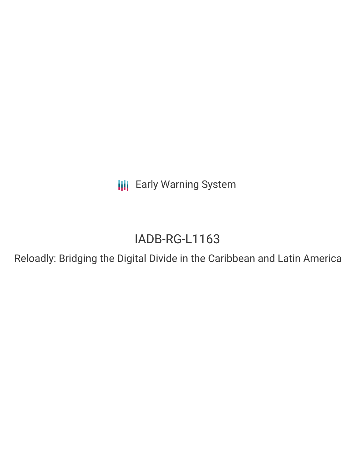**III** Early Warning System

# IADB-RG-L1163

Reloadly: Bridging the Digital Divide in the Caribbean and Latin America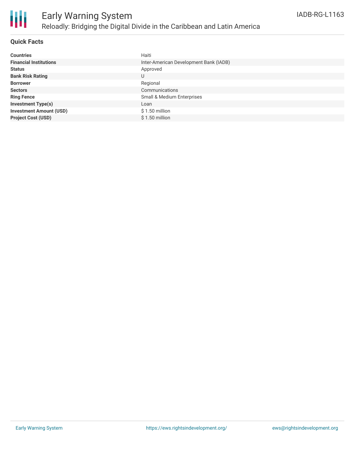

#### **Quick Facts**

| <b>Countries</b>               | Haiti                                  |
|--------------------------------|----------------------------------------|
| <b>Financial Institutions</b>  | Inter-American Development Bank (IADB) |
| <b>Status</b>                  | Approved                               |
| <b>Bank Risk Rating</b>        | U                                      |
| <b>Borrower</b>                | Regional                               |
| <b>Sectors</b>                 | Communications                         |
| <b>Ring Fence</b>              | <b>Small &amp; Medium Enterprises</b>  |
| <b>Investment Type(s)</b>      | Loan                                   |
| <b>Investment Amount (USD)</b> | $$1.50$ million                        |
| <b>Project Cost (USD)</b>      | \$1.50 million                         |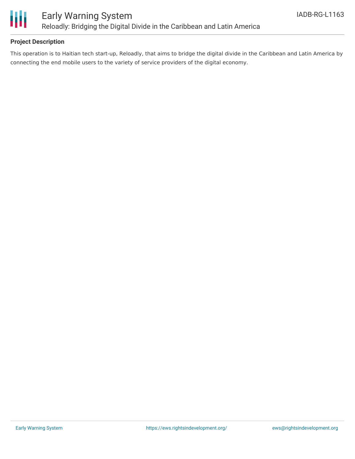

#### **Project Description**

This operation is to Haitian tech start-up, Reloadly, that aims to bridge the digital divide in the Caribbean and Latin America by connecting the end mobile users to the variety of service providers of the digital economy.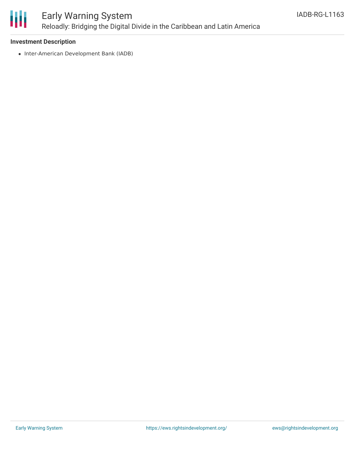

### Early Warning System Reloadly: Bridging the Digital Divide in the Caribbean and Latin America

#### **Investment Description**

• Inter-American Development Bank (IADB)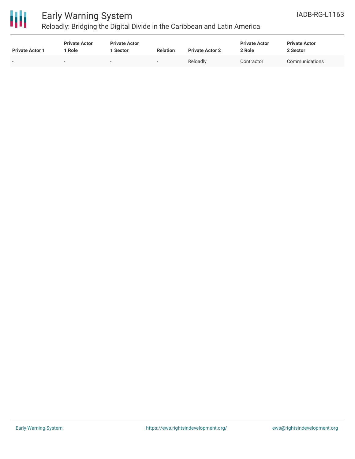

## Early Warning System

Reloadly: Bridging the Digital Divide in the Caribbean and Latin America

| <b>Private Actor 1</b> | <b>Private Actor</b><br>' Role | <b>Private Actor</b><br>Sector | <b>Relation</b> | <b>Private Actor 2</b> | <b>Private Actor</b><br>2 Role | <b>Private Actor</b><br>2 Sector |
|------------------------|--------------------------------|--------------------------------|-----------------|------------------------|--------------------------------|----------------------------------|
|                        |                                | $\overline{\phantom{0}}$       |                 | Reloadly               | Contractor                     | Communications                   |